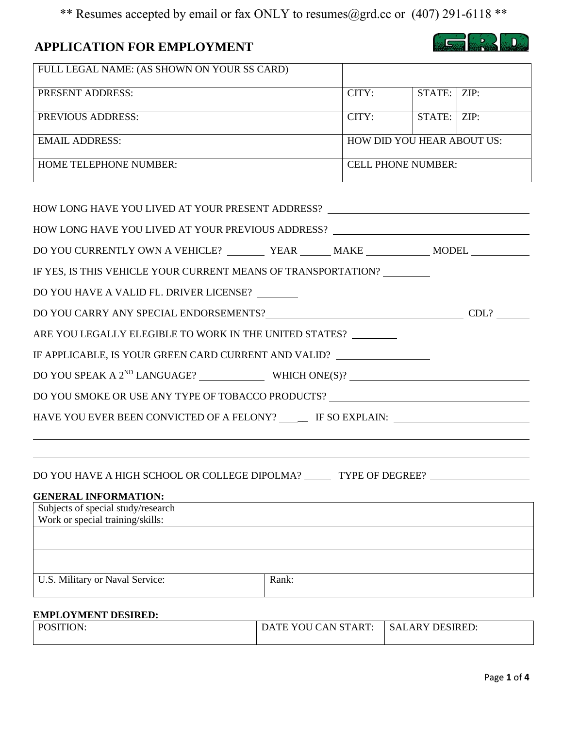\*\* Resumes accepted by email or fax ONLY to resumes@grd.cc or (407) 291-6118 \*\*

# **APPLICATION FOR EMPLOYMENT**

La Suite Verburn 2016

| FULL LEGAL NAME: (AS SHOWN ON YOUR SS CARD) |                                   |                        |  |
|---------------------------------------------|-----------------------------------|------------------------|--|
| <b>PRESENT ADDRESS:</b>                     | CITY:                             | STATE:   ZIP:          |  |
| PREVIOUS ADDRESS:                           | CITY:                             | $STATE: \mathsf{ZIP}:$ |  |
| <b>EMAIL ADDRESS:</b>                       | <b>HOW DID YOU HEAR ABOUT US:</b> |                        |  |
| HOME TELEPHONE NUMBER:                      | <b>CELL PHONE NUMBER:</b>         |                        |  |

| HOW LONG HAVE YOU LIVED AT YOUR PRESENT ADDRESS? _______________________________                                     |  |  |
|----------------------------------------------------------------------------------------------------------------------|--|--|
| HOW LONG HAVE YOU LIVED AT YOUR PREVIOUS ADDRESS? ______________________________                                     |  |  |
| DO YOU CURRENTLY OWN A VEHICLE? _________ YEAR _______ MAKE ____________ MODEL ___________                           |  |  |
| IF YES, IS THIS VEHICLE YOUR CURRENT MEANS OF TRANSPORTATION?                                                        |  |  |
| DO YOU HAVE A VALID FL. DRIVER LICENSE?                                                                              |  |  |
|                                                                                                                      |  |  |
| ARE YOU LEGALLY ELEGIBLE TO WORK IN THE UNITED STATES?                                                               |  |  |
| IF APPLICABLE, IS YOUR GREEN CARD CURRENT AND VALID?                                                                 |  |  |
| DO YOU SPEAK A $2^{ND}$ LANGUAGE? WHICH ONE(S)?                                                                      |  |  |
| DO YOU SMOKE OR USE ANY TYPE OF TOBACCO PRODUCTS? ______________________________                                     |  |  |
| HAVE YOU EVER BEEN CONVICTED OF A FELONY? ________ IF SO EXPLAIN: _______________                                    |  |  |
| <u> 1989 - Andrea San Andrea Andrea Andrea Andrea Andrea Andrea Andrea Andrea Andrea Andrea Andrea Andrea Andrea</u> |  |  |
| ,我们也不会有什么?""我们的人,我们也不会有什么?""我们的人,我们也不会有什么?""我们的人,我们也不会有什么?""我们的人,我们也不会有什么?""我们的人                                     |  |  |
| DO YOU HAVE A HIGH SCHOOL OR COLLEGE DIPOLMA? _______ TYPE OF DEGREE? ___________                                    |  |  |

## **GENERAL INFORMATION:**

| Subjects of special study/research |       |
|------------------------------------|-------|
| Work or special training/skills:   |       |
|                                    |       |
|                                    |       |
|                                    |       |
|                                    |       |
| U.S. Military or Naval Service:    | Rank: |
|                                    |       |
|                                    |       |

### **EMPLOYMENT DESIRED:**

| POSITION: | DATE YOU<br><b>I CAN START:</b> | <b>SALARY DESIRED:</b> |
|-----------|---------------------------------|------------------------|
|           |                                 |                        |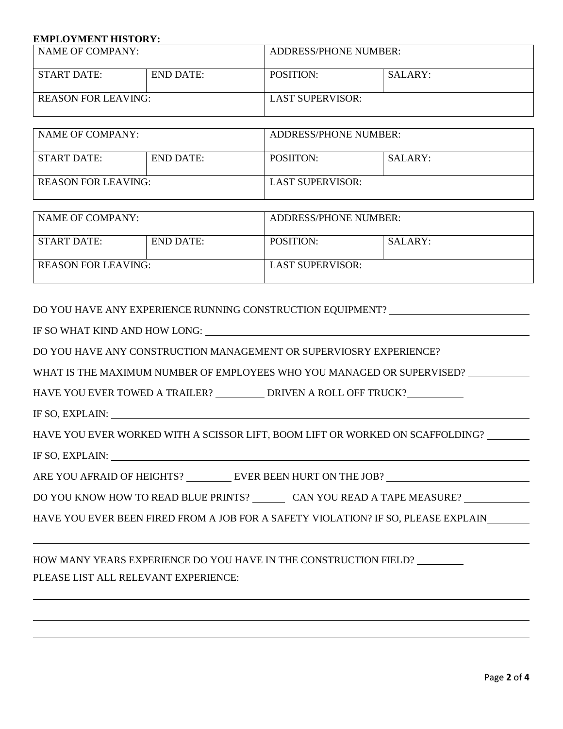#### **EMPLOYMENT HISTORY:**

| NAME OF COMPANY:           |                  | ADDRESS/PHONE NUMBER:   |         |
|----------------------------|------------------|-------------------------|---------|
| $START$ DATE:              | <b>END DATE:</b> | POSITION:               | SALARY: |
| <b>REASON FOR LEAVING:</b> |                  | <b>LAST SUPERVISOR:</b> |         |

| NAME OF COMPANY:           |                  | ADDRESS/PHONE NUMBER:   |         |
|----------------------------|------------------|-------------------------|---------|
| $START$ DATE:              | <b>END DATE:</b> | POSIITON:               | SALARY: |
| <b>REASON FOR LEAVING:</b> |                  | <b>LAST SUPERVISOR:</b> |         |

| NAME OF COMPANY:           |             | <b>ADDRESS/PHONE NUMBER:</b> |         |
|----------------------------|-------------|------------------------------|---------|
| START DATE:                | $END$ DATE: | POSITION:                    | SALARY: |
| <b>REASON FOR LEAVING:</b> |             | LAST SUPERVISOR:             |         |

DO YOU HAVE ANY EXPERIENCE RUNNING CONSTRUCTION EQUIPMENT?

IF SO WHAT KIND AND HOW LONG:

DO YOU HAVE ANY CONSTRUCTION MANAGEMENT OR SUPERVIOSRY EXPERIENCE?

WHAT IS THE MAXIMUM NUMBER OF EMPLOYEES WHO YOU MANAGED OR SUPERVISED?

HAVE YOU EVER TOWED A TRAILER? \_\_\_\_\_\_\_\_\_\_\_ DRIVEN A ROLL OFF TRUCK? \_\_\_\_\_\_\_\_\_\_\_\_

IF SO, EXPLAIN:

HAVE YOU EVER WORKED WITH A SCISSOR LIFT, BOOM LIFT OR WORKED ON SCAFFOLDING?

IF SO, EXPLAIN:

ARE YOU AFRAID OF HEIGHTS? EVER BEEN HURT ON THE JOB?

DO YOU KNOW HOW TO READ BLUE PRINTS? CAN YOU READ A TAPE MEASURE?

HAVE YOU EVER BEEN FIRED FROM A JOB FOR A SAFETY VIOLATION? IF SO, PLEASE EXPLAIN

HOW MANY YEARS EXPERIENCE DO YOU HAVE IN THE CONSTRUCTION FIELD?

PLEASE LIST ALL RELEVANT EXPERIENCE: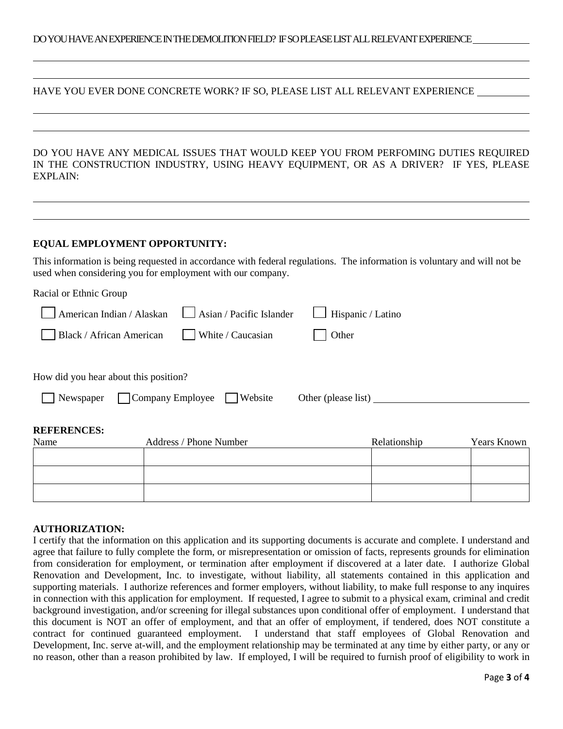HAVE YOU EVER DONE CONCRETE WORK? IF SO, PLEASE LIST ALL RELEVANT EXPERIENCE

DO YOU HAVE ANY MEDICAL ISSUES THAT WOULD KEEP YOU FROM PERFOMING DUTIES REQUIRED IN THE CONSTRUCTION INDUSTRY, USING HEAVY EQUIPMENT, OR AS A DRIVER? IF YES, PLEASE EXPLAIN:

## **EQUAL EMPLOYMENT OPPORTUNITY:**

This information is being requested in accordance with federal regulations. The information is voluntary and will not be used when considering you for employment with our company.

Racial or Ethnic Group

| $\Box$ American Indian / Alaskan $\Box$ Asian / Pacific Islander $\Box$ Hispanic / Latino |              |
|-------------------------------------------------------------------------------------------|--------------|
| Black / African American White / Caucasian                                                | <b>Other</b> |

How did you hear about this position?

| Newspaper Company Employee Website Other (please list) |  |  |
|--------------------------------------------------------|--|--|

#### **REFERENCES:**

| Name | Address / Phone Number | Relationship | Years Known |
|------|------------------------|--------------|-------------|
|      |                        |              |             |
|      |                        |              |             |
|      |                        |              |             |

#### **AUTHORIZATION:**

I certify that the information on this application and its supporting documents is accurate and complete. I understand and agree that failure to fully complete the form, or misrepresentation or omission of facts, represents grounds for elimination from consideration for employment, or termination after employment if discovered at a later date. I authorize Global Renovation and Development, Inc. to investigate, without liability, all statements contained in this application and supporting materials. I authorize references and former employers, without liability, to make full response to any inquires in connection with this application for employment. If requested, I agree to submit to a physical exam, criminal and credit background investigation, and/or screening for illegal substances upon conditional offer of employment. I understand that this document is NOT an offer of employment, and that an offer of employment, if tendered, does NOT constitute a contract for continued guaranteed employment. I understand that staff employees of Global Renovation and Development, Inc. serve at-will, and the employment relationship may be terminated at any time by either party, or any or no reason, other than a reason prohibited by law. If employed, I will be required to furnish proof of eligibility to work in